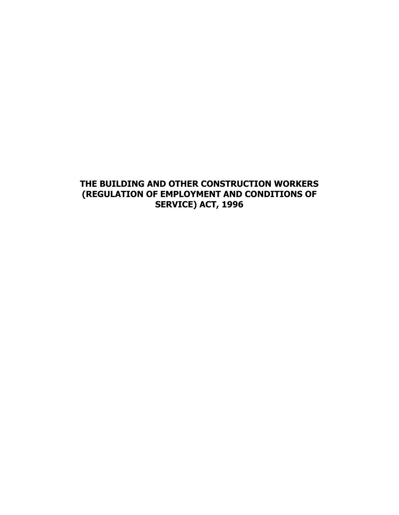# **THE BUILDING AND OTHER CONSTRUCTION WORKERS (REGULATION OF EMPLOYMENT AND CONDITIONS OF SERVICE) ACT, 1996**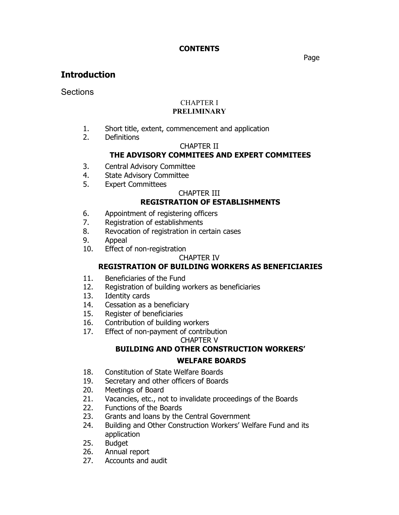### **CONTENTS**

#### and the contract of the contract of the contract of the contract of the contract of the contract of the contract of the contract of the contract of the contract of the contract of the contract of the contract of the contra

# **Introduction**

Sections

#### CHAPTER I **PRELIMINARY**

- 1. Short title, extent, commencement and application
- 2. Definitions

### CHAPTER II

## **THE ADVISORY COMMITEES AND EXPERT COMMITEES**

- 3. Central Advisory Committee
- 4. State Advisory Committee
- 5. Expert Committees

### CHAPTER III

## **REGISTRATION OF ESTABLISHMENTS**

- 6. Appointment of registering officers
- 7. Registration of establishments
- 8. Revocation of registration in certain cases
- 9. Appeal
- 10. Effect of non-registration

#### CHAPTER IV

## **REGISTRATION OF BUILDING WORKERS AS BENEFICIARIES**

- 11. Beneficiaries of the Fund
- 12. Registration of building workers as beneficiaries
- 13. Identity cards
- 14. Cessation as a beneficiary
- 15. Register of beneficiaries
- 16. Contribution of building workers
- 17. Effect of non-payment of contribution

#### CHAPTER V

### **BUILDING AND OTHER CONSTRUCTION WORKERS' WELFARE BOARDS**

- 18. Constitution of State Welfare Boards
- 19. Secretary and other officers of Boards
- 20. Meetings of Board
- 21. Vacancies, etc., not to invalidate proceedings of the Boards
- 22. Functions of the Boards
- 23. Grants and loans by the Central Government
- 24. Building and Other Construction Workers' Welfare Fund and its application
- 25. Budget
- 26. Annual report
- 27. Accounts and audit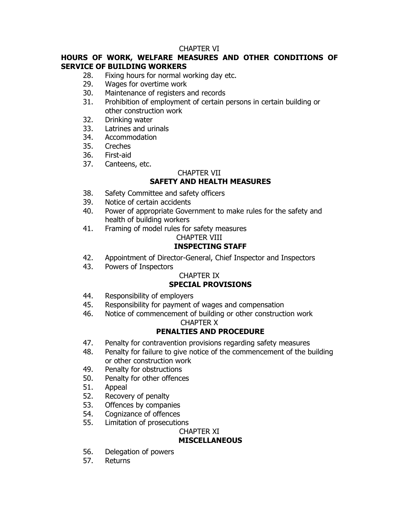### CHAPTER VI

### **HOURS OF WORK, WELFARE MEASURES AND OTHER CONDITIONS OF SERVICE OF BUILDING WORKERS**

- 28. Fixing hours for normal working day etc.
- 29. Wages for overtime work
- 30. Maintenance of registers and records
- 31. Prohibition of employment of certain persons in certain building or other construction work
- 32. Drinking water
- 33. Latrines and urinals
- 34. Accommodation
- 35. Creches
- 36. First-aid
- 37. Canteens, etc.

### CHAPTER VII

# **SAFETY AND HEALTH MEASURES**

- 38. Safety Committee and safety officers
- 39. Notice of certain accidents
- 40. Power of appropriate Government to make rules for the safety and health of building workers
- 41. Framing of model rules for safety measures

### CHAPTER VIII

## **INSPECTING STAFF**

- 42. Appointment of Director-General, Chief Inspector and Inspectors
- 43. Powers of Inspectors

# CHAPTER IX

## **SPECIAL PROVISIONS**

- 44. Responsibility of employers
- 45. Responsibility for payment of wages and compensation
- 46. Notice of commencement of building or other construction work CHAPTER X

# **PENALTIES AND PROCEDURE**

- 47. Penalty for contravention provisions regarding safety measures
- 48. Penalty for failure to give notice of the commencement of the building or other construction work
- 49. Penalty for obstructions
- 50. Penalty for other offences
- 51. Appeal
- 52. Recovery of penalty
- 53. Offences by companies
- 54. Cognizance of offences
- 55. Limitation of prosecutions

### CHAPTER XI

## **MISCELLANEOUS**

- 56. Delegation of powers
- 57. Returns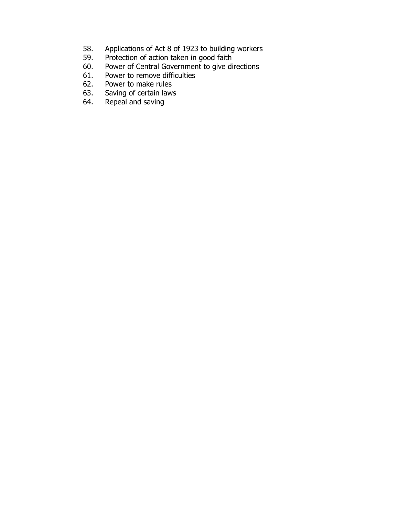- 58. Applications of Act 8 of 1923 to building workers
- 59. Protection of action taken in good faith
- 60. Power of Central Government to give directions<br>61. Power to remove difficulties
- Power to remove difficulties
- 62. Power to make rules<br>63. Saving of certain laws
- 63. Saving of certain laws<br>64. Repeal and saving
- Repeal and saving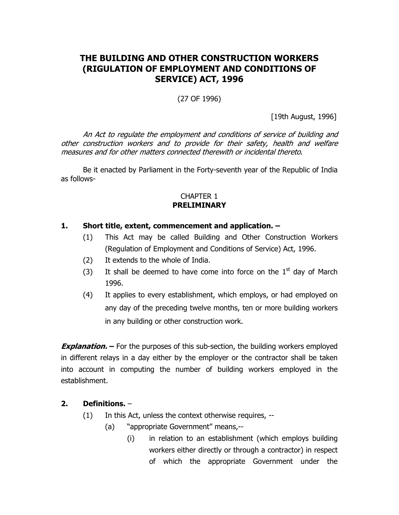# **THE BUILDING AND OTHER CONSTRUCTION WORKERS (RIGULATION OF EMPLOYMENT AND CONDITIONS OF SERVICE) ACT, 1996**

(27 OF 1996)

[19th August, 1996]

 An Act to regulate the employment and conditions of service of building and other construction workers and to provide for their safety, health and welfare measures and for other matters connected therewith or incidental thereto.

Be it enacted by Parliament in the Forty-seventh year of the Republic of India as follows-

#### CHAPTER 1 **PRELIMINARY**

### **1. Short title, extent, commencement and application. –**

- (1) This Act may be called Building and Other Construction Workers (Regulation of Employment and Conditions of Service) Act, 1996.
- (2) It extends to the whole of India.
- (3) It shall be deemed to have come into force on the  $1<sup>st</sup>$  day of March 1996.
- (4) It applies to every establishment, which employs, or had employed on any day of the preceding twelve months, ten or more building workers in any building or other construction work.

**Explanation.** – For the purposes of this sub-section, the building workers employed in different relays in a day either by the employer or the contractor shall be taken into account in computing the number of building workers employed in the establishment.

### **2. Definitions.** –

- (1) In this Act, unless the context otherwise requires, --
	- (a) "appropriate Government" means,--
		- (i) in relation to an establishment (which employs building workers either directly or through a contractor) in respect of which the appropriate Government under the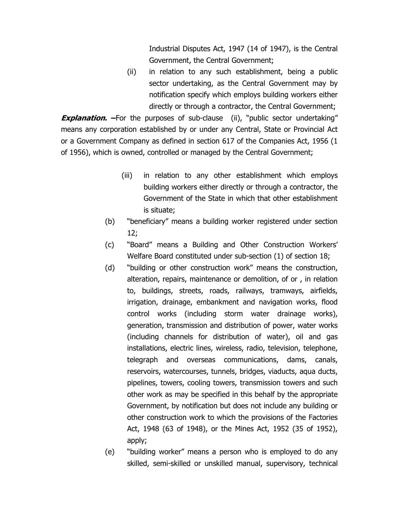Industrial Disputes Act, 1947 (14 of 1947), is the Central Government, the Central Government;

(ii) in relation to any such establishment, being a public sector undertaking, as the Central Government may by notification specify which employs building workers either directly or through a contractor, the Central Government;

**Explanation.** –For the purposes of sub-clause (ii), "public sector undertaking" means any corporation established by or under any Central, State or Provincial Act or a Government Company as defined in section 617 of the Companies Act, 1956 (1 of 1956), which is owned, controlled or managed by the Central Government;

- (iii) in relation to any other establishment which employs building workers either directly or through a contractor, the Government of the State in which that other establishment is situate;
- (b) "beneficiary" means a building worker registered under section 12;
- (c) "Board" means a Building and Other Construction Workers' Welfare Board constituted under sub-section (1) of section 18;
- (d) "building or other construction work" means the construction, alteration, repairs, maintenance or demolition, of or , in relation to, buildings, streets, roads, railways, tramways, airfields, irrigation, drainage, embankment and navigation works, flood control works (including storm water drainage works), generation, transmission and distribution of power, water works (including channels for distribution of water), oil and gas installations, electric lines, wireless, radio, television, telephone, telegraph and overseas communications, dams, canals, reservoirs, watercourses, tunnels, bridges, viaducts, aqua ducts, pipelines, towers, cooling towers, transmission towers and such other work as may be specified in this behalf by the appropriate Government, by notification but does not include any building or other construction work to which the provisions of the Factories Act, 1948 (63 of 1948), or the Mines Act, 1952 (35 of 1952), apply;
- (e) "building worker" means a person who is employed to do any skilled, semi-skilled or unskilled manual, supervisory, technical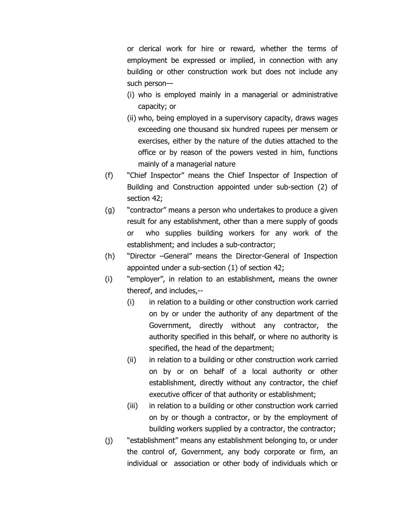or clerical work for hire or reward, whether the terms of employment be expressed or implied, in connection with any building or other construction work but does not include any such person—

- (i) who is employed mainly in a managerial or administrative capacity; or
- (ii) who, being employed in a supervisory capacity, draws wages exceeding one thousand six hundred rupees per mensem or exercises, either by the nature of the duties attached to the office or by reason of the powers vested in him, functions mainly of a managerial nature
- (f) "Chief Inspector" means the Chief Inspector of Inspection of Building and Construction appointed under sub-section (2) of section 42;
- (g) "contractor" means a person who undertakes to produce a given result for any establishment, other than a mere supply of goods or who supplies building workers for any work of the establishment; and includes a sub-contractor;
- (h) "Director –General" means the Director-General of Inspection appointed under a sub-section (1) of section 42;
- (i) "employer", in relation to an establishment, means the owner thereof, and includes,--
	- (i) in relation to a building or other construction work carried on by or under the authority of any department of the Government, directly without any contractor, the authority specified in this behalf, or where no authority is specified, the head of the department;
	- (ii) in relation to a building or other construction work carried on by or on behalf of a local authority or other establishment, directly without any contractor, the chief executive officer of that authority or establishment;
	- (iii) in relation to a building or other construction work carried on by or though a contractor, or by the employment of building workers supplied by a contractor, the contractor;
- (j) "establishment" means any establishment belonging to, or under the control of, Government, any body corporate or firm, an individual or association or other body of individuals which or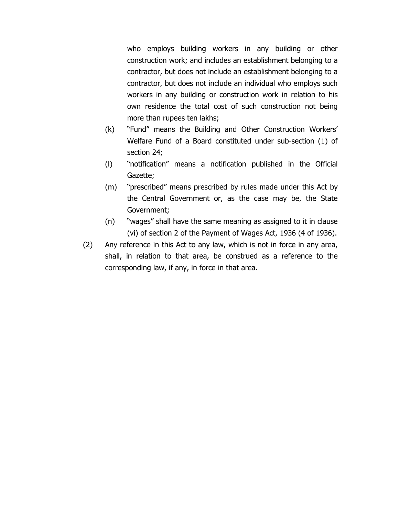who employs building workers in any building or other construction work; and includes an establishment belonging to a contractor, but does not include an establishment belonging to a contractor, but does not include an individual who employs such workers in any building or construction work in relation to his own residence the total cost of such construction not being more than rupees ten lakhs;

- (k) "Fund" means the Building and Other Construction Workers' Welfare Fund of a Board constituted under sub-section (1) of section 24;
- (l) "notification" means a notification published in the Official Gazette;
- (m) "prescribed" means prescribed by rules made under this Act by the Central Government or, as the case may be, the State Government;
- (n) "wages" shall have the same meaning as assigned to it in clause (vi) of section 2 of the Payment of Wages Act, 1936 (4 of 1936).
- (2) Any reference in this Act to any law, which is not in force in any area, shall, in relation to that area, be construed as a reference to the corresponding law, if any, in force in that area.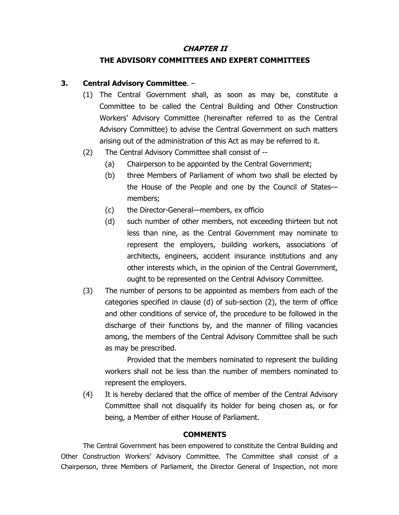#### **CHAPTER II**

# **THE ADVISORY COMMITTEES AND EXPERT COMMITTEES**

# **3. Central Advisory Committee**. –

- (1) The Central Government shall, as soon as may be, constitute a Committee to be called the Central Building and Other Construction Workers' Advisory Committee (hereinafter referred to as the Central Advisory Committee) to advise the Central Government on such matters arising out of the administration of this Act as may be referred to it.
- (2) The Central Advisory Committee shall consist of --
	- (a) Chairperson to be appointed by the Central Government;
	- (b) three Members of Parliament of whom two shall be elected by the House of the People and one by the Council of States members;
	- (c) the Director-General—members, ex officio
	- (d) such number of other members, not exceeding thirteen but not less than nine, as the Central Government may nominate to represent the employers, building workers, associations of architects, engineers, accident insurance institutions and any other interests which, in the opinion of the Central Government, ought to be represented on the Central Advisory Committee.
- (3) The number of persons to be appointed as members from each of the categories specified in clause (d) of sub-section (2), the term of office and other conditions of service of, the procedure to be followed in the discharge of their functions by, and the manner of filling vacancies among, the members of the Central Advisory Committee shall be such as may be prescribed.

 Provided that the members nominated to represent the building workers shall not be less than the number of members nominated to represent the employers.

(4) It is hereby declared that the office of member of the Central Advisory Committee shall not disqualify its holder for being chosen as, or for being, a Member of either House of Parliament.

# **COMMENTS**

 The Central Government has been empowered to constitute the Central Building and Other Construction Workers' Advisory Committee. The Committee shall consist of a Chairperson, three Members of Parliament, the Director General of Inspection, not more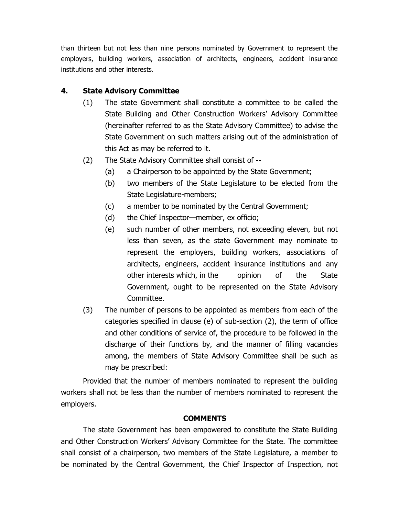than thirteen but not less than nine persons nominated by Government to represent the employers, building workers, association of architects, engineers, accident insurance institutions and other interests.

## **4. State Advisory Committee**

- (1) The state Government shall constitute a committee to be called the State Building and Other Construction Workers' Advisory Committee (hereinafter referred to as the State Advisory Committee) to advise the State Government on such matters arising out of the administration of this Act as may be referred to it.
- (2) The State Advisory Committee shall consist of --
	- (a) a Chairperson to be appointed by the State Government;
	- (b) two members of the State Legislature to be elected from the State Legislature-members;
	- (c) a member to be nominated by the Central Government;
	- (d) the Chief Inspector—member, ex officio;
	- (e) such number of other members, not exceeding eleven, but not less than seven, as the state Government may nominate to represent the employers, building workers, associations of architects, engineers, accident insurance institutions and any other interests which, in the opinion of the State Government, ought to be represented on the State Advisory Committee.
- (3) The number of persons to be appointed as members from each of the categories specified in clause (e) of sub-section (2), the term of office and other conditions of service of, the procedure to be followed in the discharge of their functions by, and the manner of filling vacancies among, the members of State Advisory Committee shall be such as may be prescribed:

 Provided that the number of members nominated to represent the building workers shall not be less than the number of members nominated to represent the employers.

### **COMMENTS**

 The state Government has been empowered to constitute the State Building and Other Construction Workers' Advisory Committee for the State. The committee shall consist of a chairperson, two members of the State Legislature, a member to be nominated by the Central Government, the Chief Inspector of Inspection, not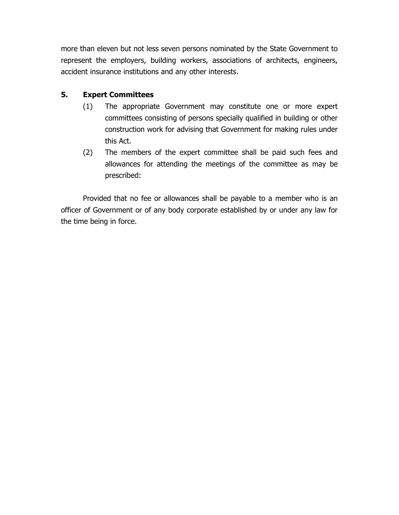more than eleven but not less seven persons nominated by the State Government to represent the employers, building workers, associations of architects, engineers, accident insurance institutions and any other interests.

## **5. Expert Committees**

- (1) The appropriate Government may constitute one or more expert committees consisting of persons specially qualified in building or other construction work for advising that Government for making rules under this Act.
- (2) The members of the expert committee shall be paid such fees and allowances for attending the meetings of the committee as may be prescribed:

 Provided that no fee or allowances shall be payable to a member who is an officer of Government or of any body corporate established by or under any law for the time being in force.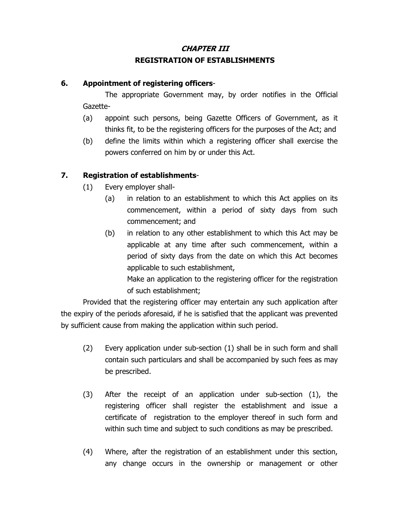# **CHAPTER III REGISTRATION OF ESTABLISHMENTS**

### **6. Appointment of registering officers**-

The appropriate Government may, by order notifies in the Official Gazette-

- (a) appoint such persons, being Gazette Officers of Government, as it thinks fit, to be the registering officers for the purposes of the Act; and
- (b) define the limits within which a registering officer shall exercise the powers conferred on him by or under this Act.

## **7. Registration of establishments**-

- (1) Every employer shall-
	- (a) in relation to an establishment to which this Act applies on its commencement, within a period of sixty days from such commencement; and
	- (b) in relation to any other establishment to which this Act may be applicable at any time after such commencement, within a period of sixty days from the date on which this Act becomes applicable to such establishment,

Make an application to the registering officer for the registration of such establishment;

 Provided that the registering officer may entertain any such application after the expiry of the periods aforesaid, if he is satisfied that the applicant was prevented by sufficient cause from making the application within such period.

- (2) Every application under sub-section (1) shall be in such form and shall contain such particulars and shall be accompanied by such fees as may be prescribed.
- (3) After the receipt of an application under sub-section (1), the registering officer shall register the establishment and issue a certificate of registration to the employer thereof in such form and within such time and subject to such conditions as may be prescribed.
- (4) Where, after the registration of an establishment under this section, any change occurs in the ownership or management or other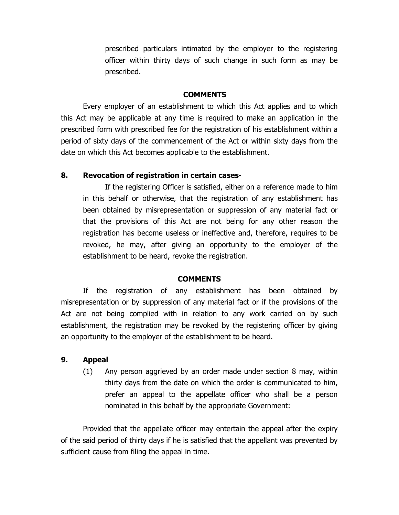prescribed particulars intimated by the employer to the registering officer within thirty days of such change in such form as may be prescribed.

#### **COMMENTS**

 Every employer of an establishment to which this Act applies and to which this Act may be applicable at any time is required to make an application in the prescribed form with prescribed fee for the registration of his establishment within a period of sixty days of the commencement of the Act or within sixty days from the date on which this Act becomes applicable to the establishment.

#### **8. Revocation of registration in certain cases**-

If the registering Officer is satisfied, either on a reference made to him in this behalf or otherwise, that the registration of any establishment has been obtained by misrepresentation or suppression of any material fact or that the provisions of this Act are not being for any other reason the registration has become useless or ineffective and, therefore, requires to be revoked, he may, after giving an opportunity to the employer of the establishment to be heard, revoke the registration.

#### **COMMENTS**

If the registration of any establishment has been obtained by misrepresentation or by suppression of any material fact or if the provisions of the Act are not being complied with in relation to any work carried on by such establishment, the registration may be revoked by the registering officer by giving an opportunity to the employer of the establishment to be heard.

#### **9. Appeal**

(1) Any person aggrieved by an order made under section 8 may, within thirty days from the date on which the order is communicated to him, prefer an appeal to the appellate officer who shall be a person nominated in this behalf by the appropriate Government:

 Provided that the appellate officer may entertain the appeal after the expiry of the said period of thirty days if he is satisfied that the appellant was prevented by sufficient cause from filing the appeal in time.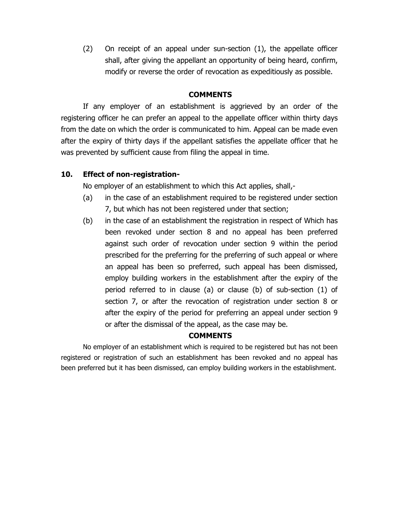(2) On receipt of an appeal under sun-section (1), the appellate officer shall, after giving the appellant an opportunity of being heard, confirm, modify or reverse the order of revocation as expeditiously as possible.

#### **COMMENTS**

If any employer of an establishment is aggrieved by an order of the registering officer he can prefer an appeal to the appellate officer within thirty days from the date on which the order is communicated to him. Appeal can be made even after the expiry of thirty days if the appellant satisfies the appellate officer that he was prevented by sufficient cause from filing the appeal in time.

### **10. Effect of non-registration-**

No employer of an establishment to which this Act applies, shall,-

- (a) in the case of an establishment required to be registered under section 7, but which has not been registered under that section;
- (b) in the case of an establishment the registration in respect of Which has been revoked under section 8 and no appeal has been preferred against such order of revocation under section 9 within the period prescribed for the preferring for the preferring of such appeal or where an appeal has been so preferred, such appeal has been dismissed, employ building workers in the establishment after the expiry of the period referred to in clause (a) or clause (b) of sub-section (1) of section 7, or after the revocation of registration under section 8 or after the expiry of the period for preferring an appeal under section 9 or after the dismissal of the appeal, as the case may be.

### **COMMENTS**

No employer of an establishment which is required to be registered but has not been registered or registration of such an establishment has been revoked and no appeal has been preferred but it has been dismissed, can employ building workers in the establishment.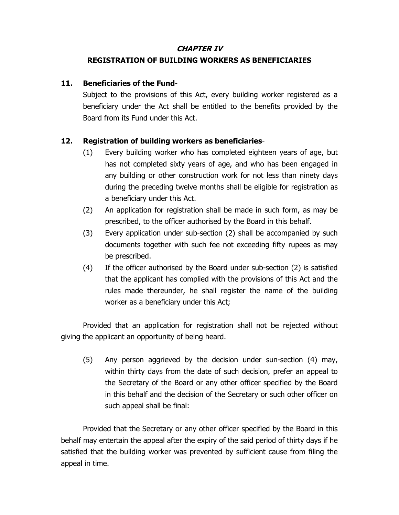### **CHAPTER IV**

## **REGISTRATION OF BUILDING WORKERS AS BENEFICIARIES**

### **11. Beneficiaries of the Fund**-

Subject to the provisions of this Act, every building worker registered as a beneficiary under the Act shall be entitled to the benefits provided by the Board from its Fund under this Act.

## **12. Registration of building workers as beneficiaries**-

- (1) Every building worker who has completed eighteen years of age, but has not completed sixty years of age, and who has been engaged in any building or other construction work for not less than ninety days during the preceding twelve months shall be eligible for registration as a beneficiary under this Act.
- (2) An application for registration shall be made in such form, as may be prescribed, to the officer authorised by the Board in this behalf.
- (3) Every application under sub-section (2) shall be accompanied by such documents together with such fee not exceeding fifty rupees as may be prescribed.
- (4) If the officer authorised by the Board under sub-section (2) is satisfied that the applicant has complied with the provisions of this Act and the rules made thereunder, he shall register the name of the building worker as a beneficiary under this Act;

Provided that an application for registration shall not be rejected without giving the applicant an opportunity of being heard.

(5) Any person aggrieved by the decision under sun-section (4) may, within thirty days from the date of such decision, prefer an appeal to the Secretary of the Board or any other officer specified by the Board in this behalf and the decision of the Secretary or such other officer on such appeal shall be final:

Provided that the Secretary or any other officer specified by the Board in this behalf may entertain the appeal after the expiry of the said period of thirty days if he satisfied that the building worker was prevented by sufficient cause from filing the appeal in time.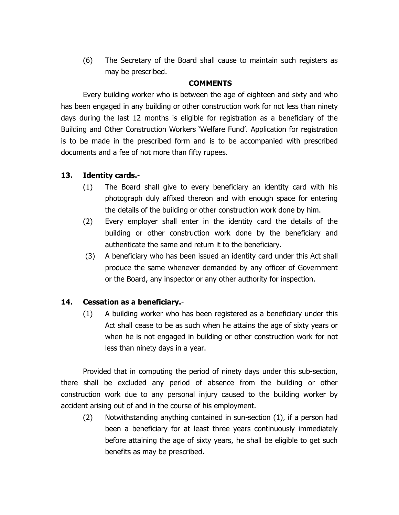(6) The Secretary of the Board shall cause to maintain such registers as may be prescribed.

### **COMMENTS**

 Every building worker who is between the age of eighteen and sixty and who has been engaged in any building or other construction work for not less than ninety days during the last 12 months is eligible for registration as a beneficiary of the Building and Other Construction Workers 'Welfare Fund'. Application for registration is to be made in the prescribed form and is to be accompanied with prescribed documents and a fee of not more than fifty rupees.

### **13. Identity cards.**-

- (1) The Board shall give to every beneficiary an identity card with his photograph duly affixed thereon and with enough space for entering the details of the building or other construction work done by him.
- (2) Every employer shall enter in the identity card the details of the building or other construction work done by the beneficiary and authenticate the same and return it to the beneficiary.
- (3) A beneficiary who has been issued an identity card under this Act shall produce the same whenever demanded by any officer of Government or the Board, any inspector or any other authority for inspection.

### **14. Cessation as a beneficiary.**-

(1) A building worker who has been registered as a beneficiary under this Act shall cease to be as such when he attains the age of sixty years or when he is not engaged in building or other construction work for not less than ninety days in a year.

 Provided that in computing the period of ninety days under this sub-section, there shall be excluded any period of absence from the building or other construction work due to any personal injury caused to the building worker by accident arising out of and in the course of his employment.

(2) Notwithstanding anything contained in sun-section (1), if a person had been a beneficiary for at least three years continuously immediately before attaining the age of sixty years, he shall be eligible to get such benefits as may be prescribed.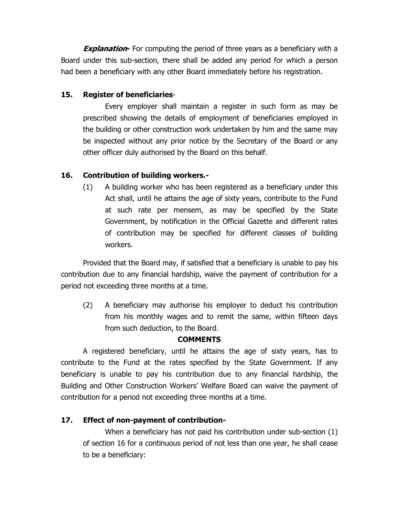**Explanation** For computing the period of three years as a beneficiary with a Board under this sub-section, there shall be added any period for which a person had been a beneficiary with any other Board immediately before his registration.

## **15. Register of beneficiaries**-

Every employer shall maintain a register in such form as may be prescribed showing the details of employment of beneficiaries employed in the building or other construction work undertaken by him and the same may be inspected without any prior notice by the Secretary of the Board or any other officer duly authorised by the Board on this behalf.

# **16. Contribution of building workers.-**

(1) A building worker who has been registered as a beneficiary under this Act shall, until he attains the age of sixty years, contribute to the Fund at such rate per mensem, as may be specified by the State Government, by notification in the Official Gazette and different rates of contribution may be specified for different classes of building workers.

 Provided that the Board may, if satisfied that a beneficiary is unable to pay his contribution due to any financial hardship, waive the payment of contribution for a period not exceeding three months at a time.

(2) A beneficiary may authorise his employer to deduct his contribution from his monthly wages and to remit the same, within fifteen days from such deduction, to the Board.

## **COMMENTS**

 A registered beneficiary, until he attains the age of sixty years, has to contribute to the Fund at the rates specified by the State Government. If any beneficiary is unable to pay his contribution due to any financial hardship, the Building and Other Construction Workers' Welfare Board can waive the payment of contribution for a period not exceeding three months at a time.

## **17. Effect of non-payment of contribution-**

When a beneficiary has not paid his contribution under sub-section (1) of section 16 for a continuous period of not less than one year, he shall cease to be a beneficiary: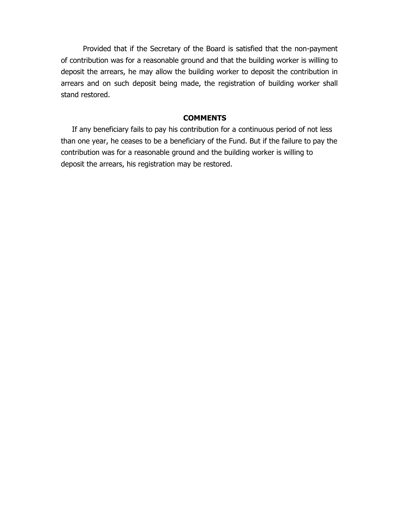Provided that if the Secretary of the Board is satisfied that the non-payment of contribution was for a reasonable ground and that the building worker is willing to deposit the arrears, he may allow the building worker to deposit the contribution in arrears and on such deposit being made, the registration of building worker shall stand restored.

#### **COMMENTS**

If any beneficiary fails to pay his contribution for a continuous period of not less than one year, he ceases to be a beneficiary of the Fund. But if the failure to pay the contribution was for a reasonable ground and the building worker is willing to deposit the arrears, his registration may be restored.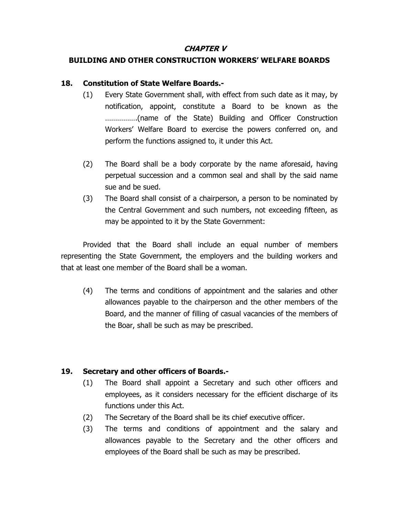### **CHAPTER V**

# **BUILDING AND OTHER CONSTRUCTION WORKERS' WELFARE BOARDS**

# **18. Constitution of State Welfare Boards.-**

- (1) Every State Government shall, with effect from such date as it may, by notification, appoint, constitute a Board to be known as the …………….(name of the State) Building and Officer Construction Workers' Welfare Board to exercise the powers conferred on, and perform the functions assigned to, it under this Act.
- (2) The Board shall be a body corporate by the name aforesaid, having perpetual succession and a common seal and shall by the said name sue and be sued.
- (3) The Board shall consist of a chairperson, a person to be nominated by the Central Government and such numbers, not exceeding fifteen, as may be appointed to it by the State Government:

Provided that the Board shall include an equal number of members representing the State Government, the employers and the building workers and that at least one member of the Board shall be a woman.

(4) The terms and conditions of appointment and the salaries and other allowances payable to the chairperson and the other members of the Board, and the manner of filling of casual vacancies of the members of the Boar, shall be such as may be prescribed.

# **19. Secretary and other officers of Boards.-**

- (1) The Board shall appoint a Secretary and such other officers and employees, as it considers necessary for the efficient discharge of its functions under this Act.
- (2) The Secretary of the Board shall be its chief executive officer.
- (3) The terms and conditions of appointment and the salary and allowances payable to the Secretary and the other officers and employees of the Board shall be such as may be prescribed.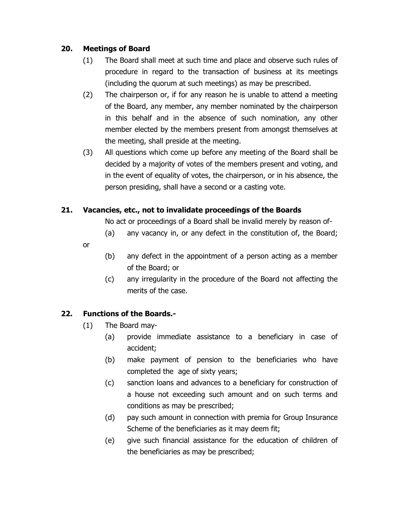## **20. Meetings of Board**

- (1) The Board shall meet at such time and place and observe such rules of procedure in regard to the transaction of business at its meetings (including the quorum at such meetings) as may be prescribed.
- (2) The chairperson or, if for any reason he is unable to attend a meeting of the Board, any member, any member nominated by the chairperson in this behalf and in the absence of such nomination, any other member elected by the members present from amongst themselves at the meeting, shall preside at the meeting.
- (3) All questions which come up before any meeting of the Board shall be decided by a majority of votes of the members present and voting, and in the event of equality of votes, the chairperson, or in his absence, the person presiding, shall have a second or a casting vote.

## **21. Vacancies, etc., not to invalidate proceedings of the Boards**

No act or proceedings of a Board shall be invalid merely by reason of-

- (a) any vacancy in, or any defect in the constitution of, the Board;
- or
- (b) any defect in the appointment of a person acting as a member of the Board; or
- (c) any irregularity in the procedure of the Board not affecting the merits of the case.

# **22. Functions of the Boards.-**

- (1) The Board may-
	- (a) provide immediate assistance to a beneficiary in case of accident;
	- (b) make payment of pension to the beneficiaries who have completed the age of sixty years;
	- (c) sanction loans and advances to a beneficiary for construction of a house not exceeding such amount and on such terms and conditions as may be prescribed;
	- (d) pay such amount in connection with premia for Group Insurance Scheme of the beneficiaries as it may deem fit;
	- (e) give such financial assistance for the education of children of the beneficiaries as may be prescribed;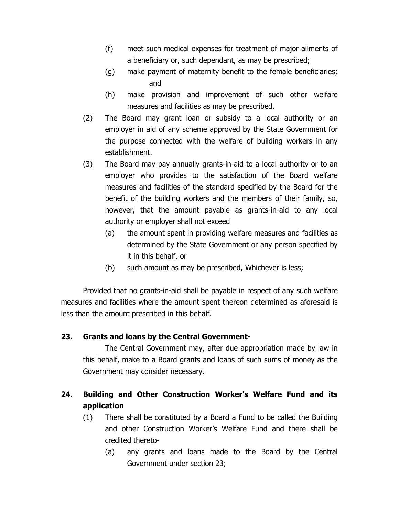- (f) meet such medical expenses for treatment of major ailments of a beneficiary or, such dependant, as may be prescribed;
- (g) make payment of maternity benefit to the female beneficiaries; and
- (h) make provision and improvement of such other welfare measures and facilities as may be prescribed.
- (2) The Board may grant loan or subsidy to a local authority or an employer in aid of any scheme approved by the State Government for the purpose connected with the welfare of building workers in any establishment.
- (3) The Board may pay annually grants-in-aid to a local authority or to an employer who provides to the satisfaction of the Board welfare measures and facilities of the standard specified by the Board for the benefit of the building workers and the members of their family, so, however, that the amount payable as grants-in-aid to any local authority or employer shall not exceed
	- (a) the amount spent in providing welfare measures and facilities as determined by the State Government or any person specified by it in this behalf, or
	- (b) such amount as may be prescribed, Whichever is less;

 Provided that no grants-in-aid shall be payable in respect of any such welfare measures and facilities where the amount spent thereon determined as aforesaid is less than the amount prescribed in this behalf.

## **23. Grants and loans by the Central Government-**

 The Central Government may, after due appropriation made by law in this behalf, make to a Board grants and loans of such sums of money as the Government may consider necessary.

# **24. Building and Other Construction Worker's Welfare Fund and its application**

- (1) There shall be constituted by a Board a Fund to be called the Building and other Construction Worker's Welfare Fund and there shall be credited thereto-
	- (a) any grants and loans made to the Board by the Central Government under section 23;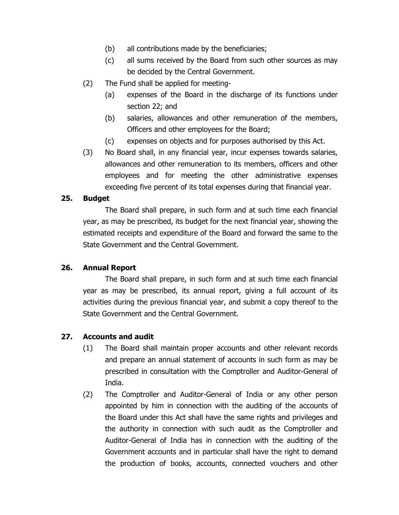- (b) all contributions made by the beneficiaries;
- (c) all sums received by the Board from such other sources as may be decided by the Central Government.
- (2) The Fund shall be applied for meeting-
	- (a) expenses of the Board in the discharge of its functions under section 22; and
	- (b) salaries, allowances and other remuneration of the members, Officers and other employees for the Board;
	- (c) expenses on objects and for purposes authorised by this Act.
- (3) No Board shall, in any financial year, incur expenses towards salaries, allowances and other remuneration to its members, officers and other employees and for meeting the other administrative expenses exceeding five percent of its total expenses during that financial year.

### **25. Budget**

The Board shall prepare, in such form and at such time each financial year, as may be prescribed, its budget for the next financial year, showing the estimated receipts and expenditure of the Board and forward the same to the State Government and the Central Government.

### **26. Annual Report**

The Board shall prepare, in such form and at such time each financial year as may be prescribed, its annual report, giving a full account of its activities during the previous financial year, and submit a copy thereof to the State Government and the Central Government.

### **27. Accounts and audit**

- (1) The Board shall maintain proper accounts and other relevant records and prepare an annual statement of accounts in such form as may be prescribed in consultation with the Comptroller and Auditor-General of India.
- (2) The Comptroller and Auditor-General of India or any other person appointed by him in connection with the auditing of the accounts of the Board under this Act shall have the same rights and privileges and the authority in connection with such audit as the Comptroller and Auditor-General of India has in connection with the auditing of the Government accounts and in particular shall have the right to demand the production of books, accounts, connected vouchers and other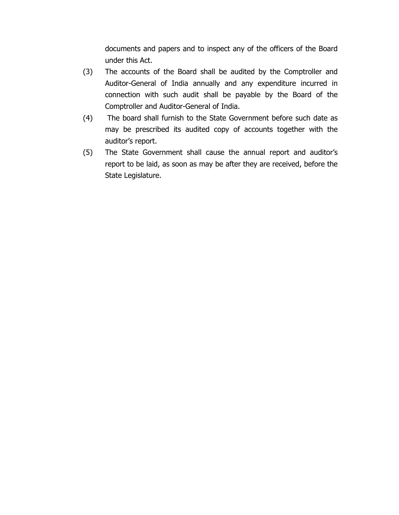documents and papers and to inspect any of the officers of the Board under this Act.

- (3) The accounts of the Board shall be audited by the Comptroller and Auditor-General of India annually and any expenditure incurred in connection with such audit shall be payable by the Board of the Comptroller and Auditor-General of India.
- (4) The board shall furnish to the State Government before such date as may be prescribed its audited copy of accounts together with the auditor's report.
- (5) The State Government shall cause the annual report and auditor's report to be laid, as soon as may be after they are received, before the State Legislature.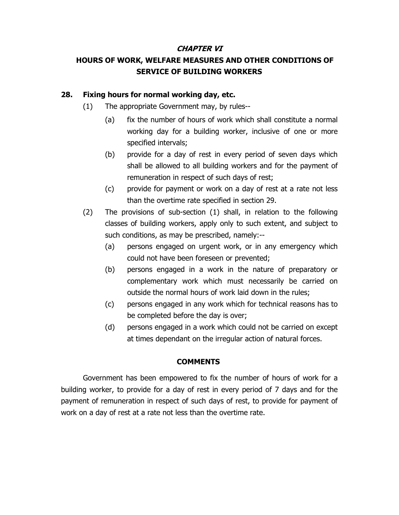### **CHAPTER VI**

# **HOURS OF WORK, WELFARE MEASURES AND OTHER CONDITIONS OF SERVICE OF BUILDING WORKERS**

### **28. Fixing hours for normal working day, etc.**

- (1) The appropriate Government may, by rules--
	- (a) fix the number of hours of work which shall constitute a normal working day for a building worker, inclusive of one or more specified intervals;
	- (b) provide for a day of rest in every period of seven days which shall be allowed to all building workers and for the payment of remuneration in respect of such days of rest;
	- (c) provide for payment or work on a day of rest at a rate not less than the overtime rate specified in section 29.
- (2) The provisions of sub-section (1) shall, in relation to the following classes of building workers, apply only to such extent, and subject to such conditions, as may be prescribed, namely:--
	- (a) persons engaged on urgent work, or in any emergency which could not have been foreseen or prevented;
	- (b) persons engaged in a work in the nature of preparatory or complementary work which must necessarily be carried on outside the normal hours of work laid down in the rules;
	- (c) persons engaged in any work which for technical reasons has to be completed before the day is over;
	- (d) persons engaged in a work which could not be carried on except at times dependant on the irregular action of natural forces.

### **COMMENTS**

Government has been empowered to fix the number of hours of work for a building worker, to provide for a day of rest in every period of 7 days and for the payment of remuneration in respect of such days of rest, to provide for payment of work on a day of rest at a rate not less than the overtime rate.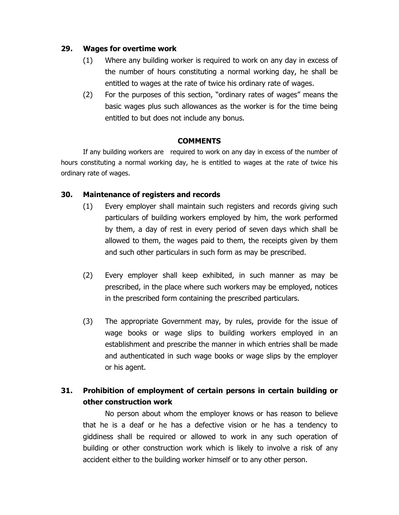### **29. Wages for overtime work**

- (1) Where any building worker is required to work on any day in excess of the number of hours constituting a normal working day, he shall be entitled to wages at the rate of twice his ordinary rate of wages.
- (2) For the purposes of this section, "ordinary rates of wages" means the basic wages plus such allowances as the worker is for the time being entitled to but does not include any bonus.

### **COMMENTS**

If any building workers are required to work on any day in excess of the number of hours constituting a normal working day, he is entitled to wages at the rate of twice his ordinary rate of wages.

### **30. Maintenance of registers and records**

- (1) Every employer shall maintain such registers and records giving such particulars of building workers employed by him, the work performed by them, a day of rest in every period of seven days which shall be allowed to them, the wages paid to them, the receipts given by them and such other particulars in such form as may be prescribed.
- (2) Every employer shall keep exhibited, in such manner as may be prescribed, in the place where such workers may be employed, notices in the prescribed form containing the prescribed particulars.
- (3) The appropriate Government may, by rules, provide for the issue of wage books or wage slips to building workers employed in an establishment and prescribe the manner in which entries shall be made and authenticated in such wage books or wage slips by the employer or his agent.

# **31. Prohibition of employment of certain persons in certain building or other construction work**

No person about whom the employer knows or has reason to believe that he is a deaf or he has a defective vision or he has a tendency to giddiness shall be required or allowed to work in any such operation of building or other construction work which is likely to involve a risk of any accident either to the building worker himself or to any other person.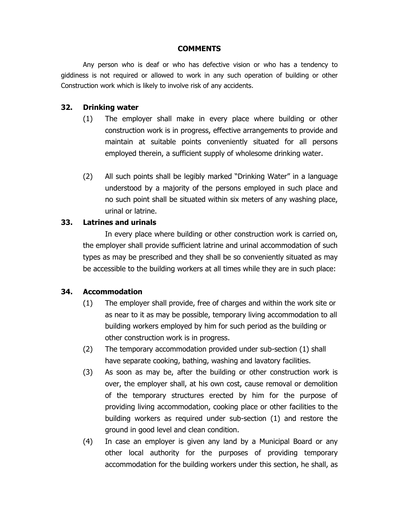### **COMMENTS**

Any person who is deaf or who has defective vision or who has a tendency to giddiness is not required or allowed to work in any such operation of building or other Construction work which is likely to involve risk of any accidents.

### **32. Drinking water**

- (1) The employer shall make in every place where building or other construction work is in progress, effective arrangements to provide and maintain at suitable points conveniently situated for all persons employed therein, a sufficient supply of wholesome drinking water.
- (2) All such points shall be legibly marked "Drinking Water" in a language understood by a majority of the persons employed in such place and no such point shall be situated within six meters of any washing place, urinal or latrine.

### **33. Latrines and urinals**

 In every place where building or other construction work is carried on, the employer shall provide sufficient latrine and urinal accommodation of such types as may be prescribed and they shall be so conveniently situated as may be accessible to the building workers at all times while they are in such place:

### **34. Accommodation**

- (1) The employer shall provide, free of charges and within the work site or as near to it as may be possible, temporary living accommodation to all building workers employed by him for such period as the building or other construction work is in progress.
- (2) The temporary accommodation provided under sub-section (1) shall have separate cooking, bathing, washing and lavatory facilities.
- (3) As soon as may be, after the building or other construction work is over, the employer shall, at his own cost, cause removal or demolition of the temporary structures erected by him for the purpose of providing living accommodation, cooking place or other facilities to the building workers as required under sub-section (1) and restore the ground in good level and clean condition.
- (4) In case an employer is given any land by a Municipal Board or any other local authority for the purposes of providing temporary accommodation for the building workers under this section, he shall, as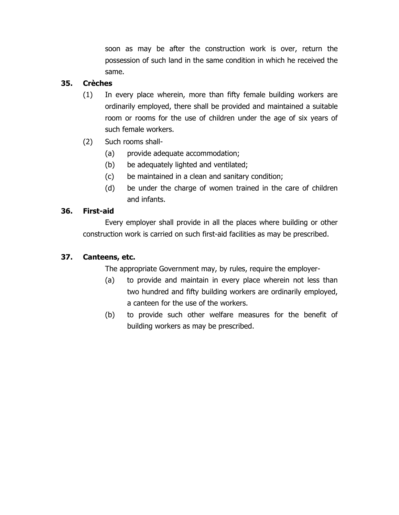soon as may be after the construction work is over, return the possession of such land in the same condition in which he received the same.

## **35. Crèches**

- (1) In every place wherein, more than fifty female building workers are ordinarily employed, there shall be provided and maintained a suitable room or rooms for the use of children under the age of six years of such female workers.
- (2) Such rooms shall-
	- (a) provide adequate accommodation;
	- (b) be adequately lighted and ventilated;
	- (c) be maintained in a clean and sanitary condition;
	- (d) be under the charge of women trained in the care of children and infants.

## **36. First-aid**

 Every employer shall provide in all the places where building or other construction work is carried on such first-aid facilities as may be prescribed.

## **37. Canteens, etc.**

The appropriate Government may, by rules, require the employer-

- (a) to provide and maintain in every place wherein not less than two hundred and fifty building workers are ordinarily employed, a canteen for the use of the workers.
- (b) to provide such other welfare measures for the benefit of building workers as may be prescribed.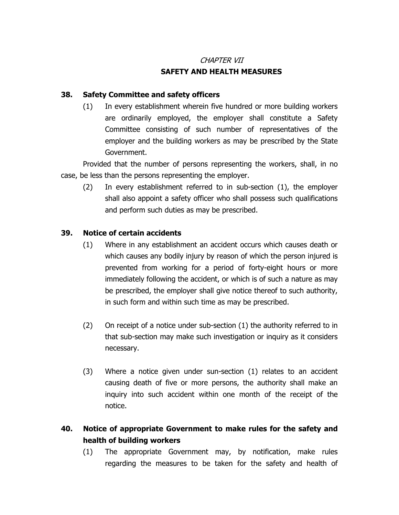### CHAPTER VII

## **SAFETY AND HEALTH MEASURES**

### **38. Safety Committee and safety officers**

(1) In every establishment wherein five hundred or more building workers are ordinarily employed, the employer shall constitute a Safety Committee consisting of such number of representatives of the employer and the building workers as may be prescribed by the State Government.

 Provided that the number of persons representing the workers, shall, in no case, be less than the persons representing the employer.

(2) In every establishment referred to in sub-section (1), the employer shall also appoint a safety officer who shall possess such qualifications and perform such duties as may be prescribed.

### **39. Notice of certain accidents**

- (1) Where in any establishment an accident occurs which causes death or which causes any bodily injury by reason of which the person injured is prevented from working for a period of forty-eight hours or more immediately following the accident, or which is of such a nature as may be prescribed, the employer shall give notice thereof to such authority, in such form and within such time as may be prescribed.
- (2) On receipt of a notice under sub-section (1) the authority referred to in that sub-section may make such investigation or inquiry as it considers necessary.
- (3) Where a notice given under sun-section (1) relates to an accident causing death of five or more persons, the authority shall make an inquiry into such accident within one month of the receipt of the notice.

# **40. Notice of appropriate Government to make rules for the safety and health of building workers**

(1) The appropriate Government may, by notification, make rules regarding the measures to be taken for the safety and health of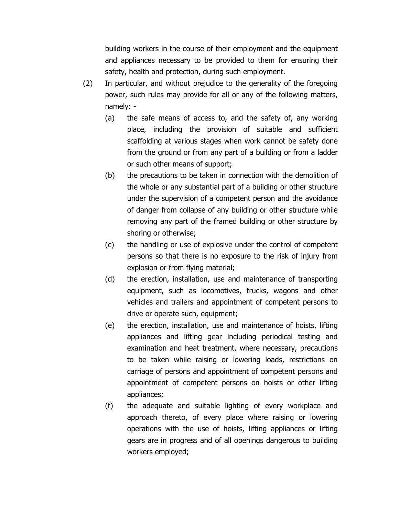building workers in the course of their employment and the equipment and appliances necessary to be provided to them for ensuring their safety, health and protection, during such employment.

- (2) In particular, and without prejudice to the generality of the foregoing power, such rules may provide for all or any of the following matters, namely: -
	- (a) the safe means of access to, and the safety of, any working place, including the provision of suitable and sufficient scaffolding at various stages when work cannot be safety done from the ground or from any part of a building or from a ladder or such other means of support;
	- (b) the precautions to be taken in connection with the demolition of the whole or any substantial part of a building or other structure under the supervision of a competent person and the avoidance of danger from collapse of any building or other structure while removing any part of the framed building or other structure by shoring or otherwise;
	- (c) the handling or use of explosive under the control of competent persons so that there is no exposure to the risk of injury from explosion or from flying material;
	- (d) the erection, installation, use and maintenance of transporting equipment, such as locomotives, trucks, wagons and other vehicles and trailers and appointment of competent persons to drive or operate such, equipment;
	- (e) the erection, installation, use and maintenance of hoists, lifting appliances and lifting gear including periodical testing and examination and heat treatment, where necessary, precautions to be taken while raising or lowering loads, restrictions on carriage of persons and appointment of competent persons and appointment of competent persons on hoists or other lifting appliances;
	- (f) the adequate and suitable lighting of every workplace and approach thereto, of every place where raising or lowering operations with the use of hoists, lifting appliances or lifting gears are in progress and of all openings dangerous to building workers employed;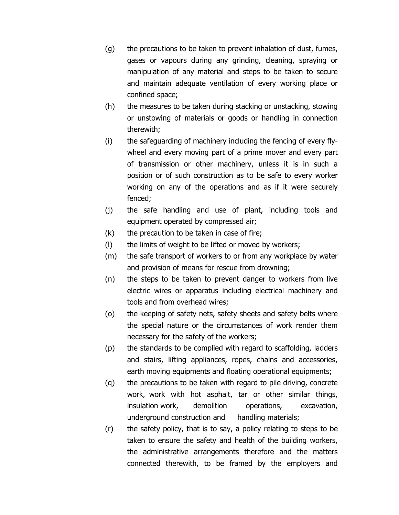- (g) the precautions to be taken to prevent inhalation of dust, fumes, gases or vapours during any grinding, cleaning, spraying or manipulation of any material and steps to be taken to secure and maintain adequate ventilation of every working place or confined space;
- (h) the measures to be taken during stacking or unstacking, stowing or unstowing of materials or goods or handling in connection therewith;
- (i) the safeguarding of machinery including the fencing of every flywheel and every moving part of a prime mover and every part of transmission or other machinery, unless it is in such a position or of such construction as to be safe to every worker working on any of the operations and as if it were securely fenced;
- (j) the safe handling and use of plant, including tools and equipment operated by compressed air;
- $(k)$  the precaution to be taken in case of fire;
- (l) the limits of weight to be lifted or moved by workers;
- (m) the safe transport of workers to or from any workplace by water and provision of means for rescue from drowning;
- (n) the steps to be taken to prevent danger to workers from live electric wires or apparatus including electrical machinery and tools and from overhead wires;
- (o) the keeping of safety nets, safety sheets and safety belts where the special nature or the circumstances of work render them necessary for the safety of the workers;
- (p) the standards to be complied with regard to scaffolding, ladders and stairs, lifting appliances, ropes, chains and accessories, earth moving equipments and floating operational equipments;
- (q) the precautions to be taken with regard to pile driving, concrete work, work with hot asphalt, tar or other similar things, insulation work, demolition operations, excavation, underground construction and handling materials;
- (r) the safety policy, that is to say, a policy relating to steps to be taken to ensure the safety and health of the building workers, the administrative arrangements therefore and the matters connected therewith, to be framed by the employers and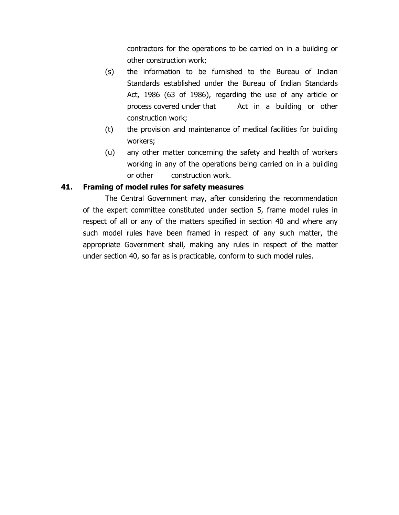contractors for the operations to be carried on in a building or other construction work;

- (s) the information to be furnished to the Bureau of Indian Standards established under the Bureau of Indian Standards Act, 1986 (63 of 1986), regarding the use of any article or process covered under that Act in a building or other construction work;
- (t) the provision and maintenance of medical facilities for building workers;
- (u) any other matter concerning the safety and health of workers working in any of the operations being carried on in a building or other construction work.

### **41. Framing of model rules for safety measures**

The Central Government may, after considering the recommendation of the expert committee constituted under section 5, frame model rules in respect of all or any of the matters specified in section 40 and where any such model rules have been framed in respect of any such matter, the appropriate Government shall, making any rules in respect of the matter under section 40, so far as is practicable, conform to such model rules.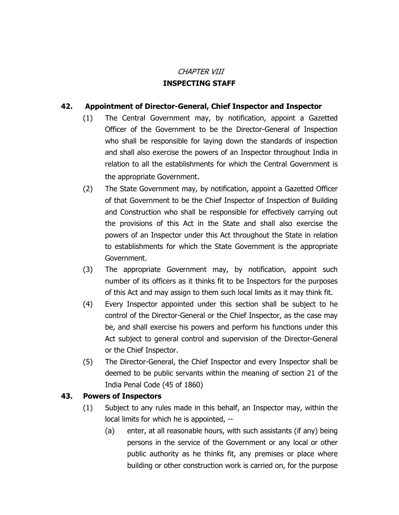# CHAPTER VIII **INSPECTING STAFF**

## **42. Appointment of Director-General, Chief Inspector and Inspector**

- (1) The Central Government may, by notification, appoint a Gazetted Officer of the Government to be the Director-General of Inspection who shall be responsible for laying down the standards of inspection and shall also exercise the powers of an Inspector throughout India in relation to all the establishments for which the Central Government is the appropriate Government.
- (2) The State Government may, by notification, appoint a Gazetted Officer of that Government to be the Chief Inspector of Inspection of Building and Construction who shall be responsible for effectively carrying out the provisions of this Act in the State and shall also exercise the powers of an Inspector under this Act throughout the State in relation to establishments for which the State Government is the appropriate Government.
- (3) The appropriate Government may, by notification, appoint such number of its officers as it thinks fit to be Inspectors for the purposes of this Act and may assign to them such local limits as it may think fit.
- (4) Every Inspector appointed under this section shall be subject to he control of the Director-General or the Chief Inspector, as the case may be, and shall exercise his powers and perform his functions under this Act subject to general control and supervision of the Director-General or the Chief Inspector.
- (5) The Director-General, the Chief Inspector and every Inspector shall be deemed to be public servants within the meaning of section 21 of the India Penal Code (45 of 1860)

### **43. Powers of Inspectors**

- (1) Subject to any rules made in this behalf, an Inspector may, within the local limits for which he is appointed, --
	- (a) enter, at all reasonable hours, with such assistants (if any) being persons in the service of the Government or any local or other public authority as he thinks fit, any premises or place where building or other construction work is carried on, for the purpose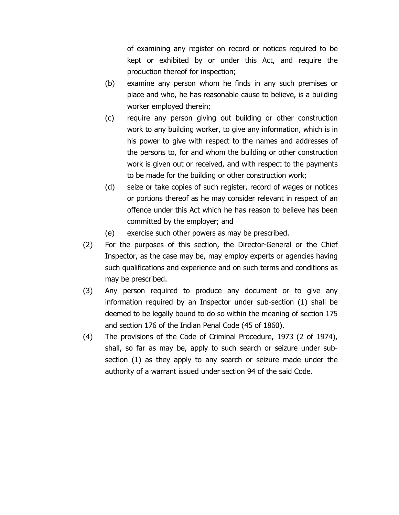of examining any register on record or notices required to be kept or exhibited by or under this Act, and require the production thereof for inspection;

- (b) examine any person whom he finds in any such premises or place and who, he has reasonable cause to believe, is a building worker employed therein;
- (c) require any person giving out building or other construction work to any building worker, to give any information, which is in his power to give with respect to the names and addresses of the persons to, for and whom the building or other construction work is given out or received, and with respect to the payments to be made for the building or other construction work;
- (d) seize or take copies of such register, record of wages or notices or portions thereof as he may consider relevant in respect of an offence under this Act which he has reason to believe has been committed by the employer; and
- (e) exercise such other powers as may be prescribed.
- (2) For the purposes of this section, the Director-General or the Chief Inspector, as the case may be, may employ experts or agencies having such qualifications and experience and on such terms and conditions as may be prescribed.
- (3) Any person required to produce any document or to give any information required by an Inspector under sub-section (1) shall be deemed to be legally bound to do so within the meaning of section 175 and section 176 of the Indian Penal Code (45 of 1860).
- (4) The provisions of the Code of Criminal Procedure, 1973 (2 of 1974), shall, so far as may be, apply to such search or seizure under subsection (1) as they apply to any search or seizure made under the authority of a warrant issued under section 94 of the said Code.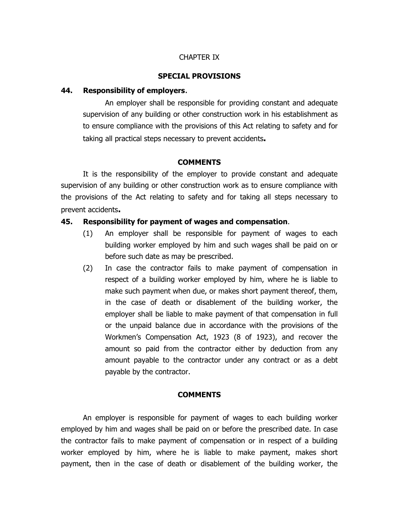#### CHAPTER IX

#### **SPECIAL PROVISIONS**

#### **44. Responsibility of employers**.

An employer shall be responsible for providing constant and adequate supervision of any building or other construction work in his establishment as to ensure compliance with the provisions of this Act relating to safety and for taking all practical steps necessary to prevent accidents**.** 

#### **COMMENTS**

It is the responsibility of the employer to provide constant and adequate supervision of any building or other construction work as to ensure compliance with the provisions of the Act relating to safety and for taking all steps necessary to prevent accidents**.** 

#### **45. Responsibility for payment of wages and compensation**.

- (1) An employer shall be responsible for payment of wages to each building worker employed by him and such wages shall be paid on or before such date as may be prescribed.
- (2) In case the contractor fails to make payment of compensation in respect of a building worker employed by him, where he is liable to make such payment when due, or makes short payment thereof, them, in the case of death or disablement of the building worker, the employer shall be liable to make payment of that compensation in full or the unpaid balance due in accordance with the provisions of the Workmen's Compensation Act, 1923 (8 of 1923), and recover the amount so paid from the contractor either by deduction from any amount payable to the contractor under any contract or as a debt payable by the contractor.

#### **COMMENTS**

 An employer is responsible for payment of wages to each building worker employed by him and wages shall be paid on or before the prescribed date. In case the contractor fails to make payment of compensation or in respect of a building worker employed by him, where he is liable to make payment, makes short payment, then in the case of death or disablement of the building worker, the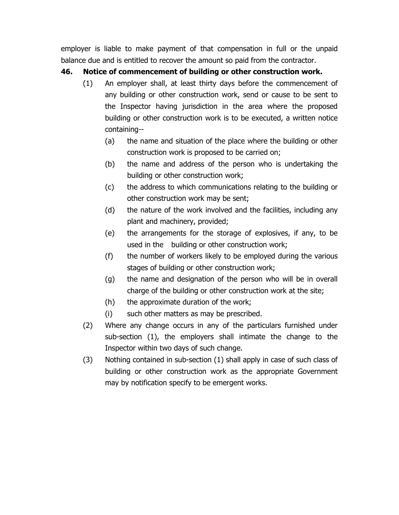employer is liable to make payment of that compensation in full or the unpaid balance due and is entitled to recover the amount so paid from the contractor.

## **46. Notice of commencement of building or other construction work.**

- (1) An employer shall, at least thirty days before the commencement of any building or other construction work, send or cause to be sent to the Inspector having jurisdiction in the area where the proposed building or other construction work is to be executed, a written notice containing--
	- (a) the name and situation of the place where the building or other construction work is proposed to be carried on;
	- (b) the name and address of the person who is undertaking the building or other construction work;
	- (c) the address to which communications relating to the building or other construction work may be sent;
	- (d) the nature of the work involved and the facilities, including any plant and machinery, provided;
	- (e) the arrangements for the storage of explosives, if any, to be used in the building or other construction work;
	- (f) the number of workers likely to be employed during the various stages of building or other construction work;
	- (g) the name and designation of the person who will be in overall charge of the building or other construction work at the site;
	- (h) the approximate duration of the work;
	- (i) such other matters as may be prescribed.
- (2) Where any change occurs in any of the particulars furnished under sub-section (1), the employers shall intimate the change to the Inspector within two days of such change.
- (3) Nothing contained in sub-section (1) shall apply in case of such class of building or other construction work as the appropriate Government may by notification specify to be emergent works.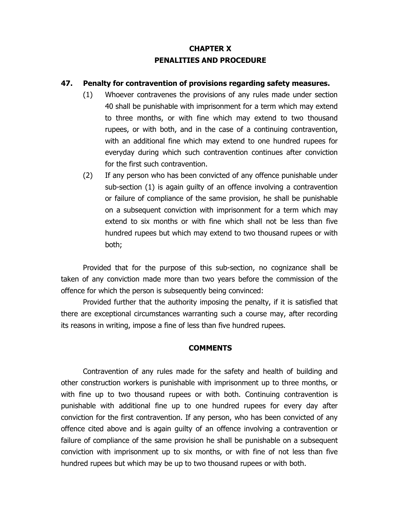# **CHAPTER X PENALITIES AND PROCEDURE**

### **47. Penalty for contravention of provisions regarding safety measures.**

- (1) Whoever contravenes the provisions of any rules made under section 40 shall be punishable with imprisonment for a term which may extend to three months, or with fine which may extend to two thousand rupees, or with both, and in the case of a continuing contravention, with an additional fine which may extend to one hundred rupees for everyday during which such contravention continues after conviction for the first such contravention.
- (2) If any person who has been convicted of any offence punishable under sub-section (1) is again guilty of an offence involving a contravention or failure of compliance of the same provision, he shall be punishable on a subsequent conviction with imprisonment for a term which may extend to six months or with fine which shall not be less than five hundred rupees but which may extend to two thousand rupees or with both;

Provided that for the purpose of this sub-section, no cognizance shall be taken of any conviction made more than two years before the commission of the offence for which the person is subsequently being convinced:

Provided further that the authority imposing the penalty, if it is satisfied that there are exceptional circumstances warranting such a course may, after recording its reasons in writing, impose a fine of less than five hundred rupees.

### **COMMENTS**

 Contravention of any rules made for the safety and health of building and other construction workers is punishable with imprisonment up to three months, or with fine up to two thousand rupees or with both. Continuing contravention is punishable with additional fine up to one hundred rupees for every day after conviction for the first contravention. If any person, who has been convicted of any offence cited above and is again guilty of an offence involving a contravention or failure of compliance of the same provision he shall be punishable on a subsequent conviction with imprisonment up to six months, or with fine of not less than five hundred rupees but which may be up to two thousand rupees or with both.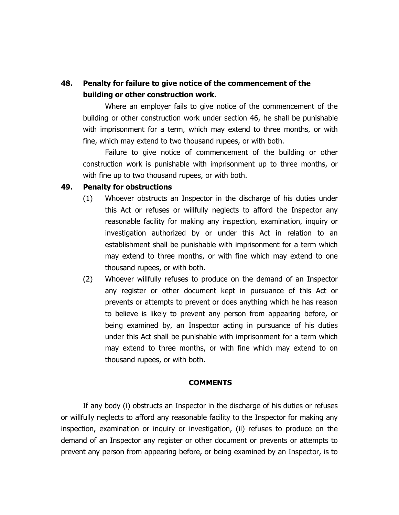# **48. Penalty for failure to give notice of the commencement of the building or other construction work.**

Where an employer fails to give notice of the commencement of the building or other construction work under section 46, he shall be punishable with imprisonment for a term, which may extend to three months, or with fine, which may extend to two thousand rupees, or with both.

Failure to give notice of commencement of the building or other construction work is punishable with imprisonment up to three months, or with fine up to two thousand rupees, or with both.

#### **49. Penalty for obstructions**

- (1) Whoever obstructs an Inspector in the discharge of his duties under this Act or refuses or willfully neglects to afford the Inspector any reasonable facility for making any inspection, examination, inquiry or investigation authorized by or under this Act in relation to an establishment shall be punishable with imprisonment for a term which may extend to three months, or with fine which may extend to one thousand rupees, or with both.
- (2) Whoever willfully refuses to produce on the demand of an Inspector any register or other document kept in pursuance of this Act or prevents or attempts to prevent or does anything which he has reason to believe is likely to prevent any person from appearing before, or being examined by, an Inspector acting in pursuance of his duties under this Act shall be punishable with imprisonment for a term which may extend to three months, or with fine which may extend to on thousand rupees, or with both.

#### **COMMENTS**

If any body (i) obstructs an Inspector in the discharge of his duties or refuses or willfully neglects to afford any reasonable facility to the Inspector for making any inspection, examination or inquiry or investigation, (ii) refuses to produce on the demand of an Inspector any register or other document or prevents or attempts to prevent any person from appearing before, or being examined by an Inspector, is to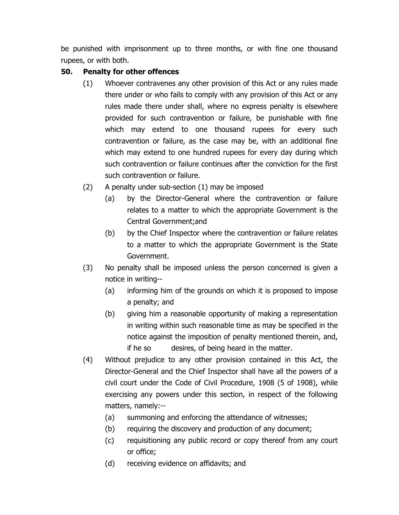be punished with imprisonment up to three months, or with fine one thousand rupees, or with both.

## **50. Penalty for other offences**

- (1) Whoever contravenes any other provision of this Act or any rules made there under or who fails to comply with any provision of this Act or any rules made there under shall, where no express penalty is elsewhere provided for such contravention or failure, be punishable with fine which may extend to one thousand rupees for every such contravention or failure, as the case may be, with an additional fine which may extend to one hundred rupees for every day during which such contravention or failure continues after the conviction for the first such contravention or failure.
- (2) A penalty under sub-section (1) may be imposed
	- (a) by the Director-General where the contravention or failure relates to a matter to which the appropriate Government is the Central Government;and
	- (b) by the Chief Inspector where the contravention or failure relates to a matter to which the appropriate Government is the State Government.
- (3) No penalty shall be imposed unless the person concerned is given a notice in writing--
	- (a) informing him of the grounds on which it is proposed to impose a penalty; and
	- (b) giving him a reasonable opportunity of making a representation in writing within such reasonable time as may be specified in the notice against the imposition of penalty mentioned therein, and, if he so desires, of being heard in the matter.
- (4) Without prejudice to any other provision contained in this Act, the Director-General and the Chief Inspector shall have all the powers of a civil court under the Code of Civil Procedure, 1908 (5 of 1908), while exercising any powers under this section, in respect of the following matters, namely:--
	- (a) summoning and enforcing the attendance of witnesses;
	- (b) requiring the discovery and production of any document;
	- (c) requisitioning any public record or copy thereof from any court or office;
	- (d) receiving evidence on affidavits; and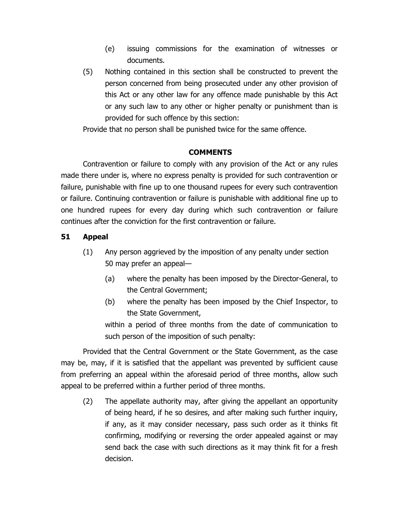- (e) issuing commissions for the examination of witnesses or documents.
- (5) Nothing contained in this section shall be constructed to prevent the person concerned from being prosecuted under any other provision of this Act or any other law for any offence made punishable by this Act or any such law to any other or higher penalty or punishment than is provided for such offence by this section:

Provide that no person shall be punished twice for the same offence.

### **COMMENTS**

 Contravention or failure to comply with any provision of the Act or any rules made there under is, where no express penalty is provided for such contravention or failure, punishable with fine up to one thousand rupees for every such contravention or failure. Continuing contravention or failure is punishable with additional fine up to one hundred rupees for every day during which such contravention or failure continues after the conviction for the first contravention or failure.

## **51 Appeal**

- (1) Any person aggrieved by the imposition of any penalty under section 50 may prefer an appeal—
	- (a) where the penalty has been imposed by the Director-General, to the Central Government;
	- (b) where the penalty has been imposed by the Chief Inspector, to the State Government,

within a period of three months from the date of communication to such person of the imposition of such penalty:

Provided that the Central Government or the State Government, as the case may be, may, if it is satisfied that the appellant was prevented by sufficient cause from preferring an appeal within the aforesaid period of three months, allow such appeal to be preferred within a further period of three months.

(2) The appellate authority may, after giving the appellant an opportunity of being heard, if he so desires, and after making such further inquiry, if any, as it may consider necessary, pass such order as it thinks fit confirming, modifying or reversing the order appealed against or may send back the case with such directions as it may think fit for a fresh decision.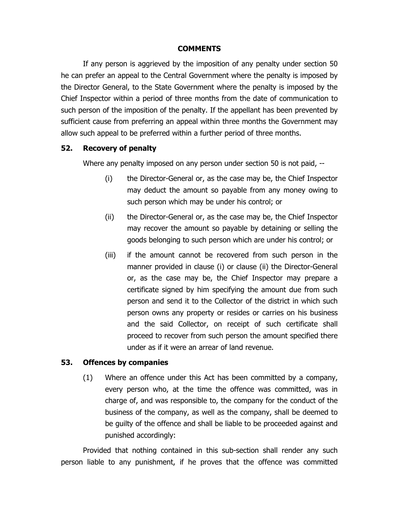### **COMMENTS**

 If any person is aggrieved by the imposition of any penalty under section 50 he can prefer an appeal to the Central Government where the penalty is imposed by the Director General, to the State Government where the penalty is imposed by the Chief Inspector within a period of three months from the date of communication to such person of the imposition of the penalty. If the appellant has been prevented by sufficient cause from preferring an appeal within three months the Government may allow such appeal to be preferred within a further period of three months.

### **52. Recovery of penalty**

Where any penalty imposed on any person under section 50 is not paid, --

- (i) the Director-General or, as the case may be, the Chief Inspector may deduct the amount so payable from any money owing to such person which may be under his control; or
- (ii) the Director-General or, as the case may be, the Chief Inspector may recover the amount so payable by detaining or selling the goods belonging to such person which are under his control; or
- (iii) if the amount cannot be recovered from such person in the manner provided in clause (i) or clause (ii) the Director-General or, as the case may be, the Chief Inspector may prepare a certificate signed by him specifying the amount due from such person and send it to the Collector of the district in which such person owns any property or resides or carries on his business and the said Collector, on receipt of such certificate shall proceed to recover from such person the amount specified there under as if it were an arrear of land revenue.

### **53. Offences by companies**

(1) Where an offence under this Act has been committed by a company, every person who, at the time the offence was committed, was in charge of, and was responsible to, the company for the conduct of the business of the company, as well as the company, shall be deemed to be guilty of the offence and shall be liable to be proceeded against and punished accordingly:

Provided that nothing contained in this sub-section shall render any such person liable to any punishment, if he proves that the offence was committed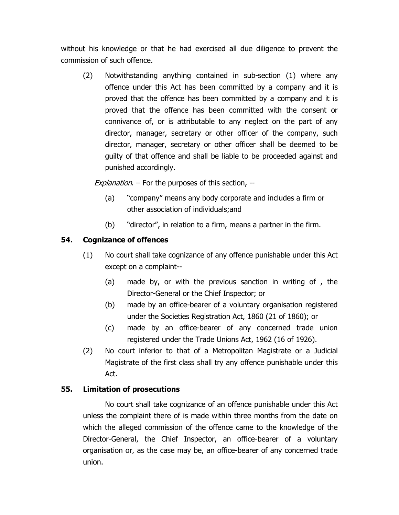without his knowledge or that he had exercised all due diligence to prevent the commission of such offence.

(2) Notwithstanding anything contained in sub-section (1) where any offence under this Act has been committed by a company and it is proved that the offence has been committed by a company and it is proved that the offence has been committed with the consent or connivance of, or is attributable to any neglect on the part of any director, manager, secretary or other officer of the company, such director, manager, secretary or other officer shall be deemed to be guilty of that offence and shall be liable to be proceeded against and punished accordingly.

Explanation.  $-$  For the purposes of this section,  $-$ 

- (a) "company" means any body corporate and includes a firm or other association of individuals;and
- (b) "director", in relation to a firm, means a partner in the firm.

## **54. Cognizance of offences**

- (1) No court shall take cognizance of any offence punishable under this Act except on a complaint--
	- (a) made by, or with the previous sanction in writing of , the Director-General or the Chief Inspector; or
	- (b) made by an office-bearer of a voluntary organisation registered under the Societies Registration Act, 1860 (21 of 1860); or
	- (c) made by an office-bearer of any concerned trade union registered under the Trade Unions Act, 1962 (16 of 1926).
- (2) No court inferior to that of a Metropolitan Magistrate or a Judicial Magistrate of the first class shall try any offence punishable under this Act.

## **55. Limitation of prosecutions**

No court shall take cognizance of an offence punishable under this Act unless the complaint there of is made within three months from the date on which the alleged commission of the offence came to the knowledge of the Director-General, the Chief Inspector, an office-bearer of a voluntary organisation or, as the case may be, an office-bearer of any concerned trade union.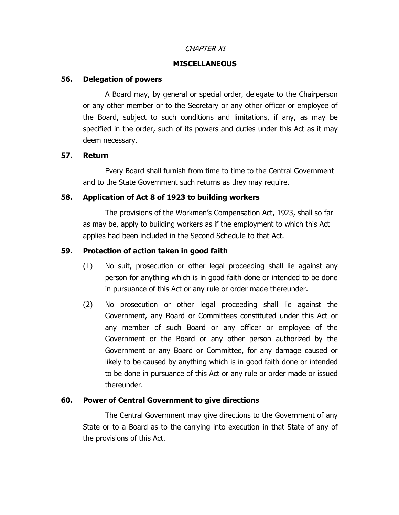### CHAPTER XI

#### **MISCELLANEOUS**

#### **56. Delegation of powers**

A Board may, by general or special order, delegate to the Chairperson or any other member or to the Secretary or any other officer or employee of the Board, subject to such conditions and limitations, if any, as may be specified in the order, such of its powers and duties under this Act as it may deem necessary.

#### **57. Return**

Every Board shall furnish from time to time to the Central Government and to the State Government such returns as they may require.

#### **58. Application of Act 8 of 1923 to building workers**

The provisions of the Workmen's Compensation Act, 1923, shall so far as may be, apply to building workers as if the employment to which this Act applies had been included in the Second Schedule to that Act.

### **59. Protection of action taken in good faith**

- (1) No suit, prosecution or other legal proceeding shall lie against any person for anything which is in good faith done or intended to be done in pursuance of this Act or any rule or order made thereunder.
- (2) No prosecution or other legal proceeding shall lie against the Government, any Board or Committees constituted under this Act or any member of such Board or any officer or employee of the Government or the Board or any other person authorized by the Government or any Board or Committee, for any damage caused or likely to be caused by anything which is in good faith done or intended to be done in pursuance of this Act or any rule or order made or issued thereunder.

### **60. Power of Central Government to give directions**

The Central Government may give directions to the Government of any State or to a Board as to the carrying into execution in that State of any of the provisions of this Act.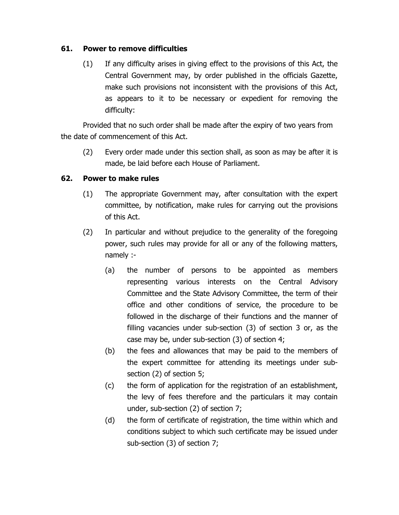### **61. Power to remove difficulties**

(1) If any difficulty arises in giving effect to the provisions of this Act, the Central Government may, by order published in the officials Gazette, make such provisions not inconsistent with the provisions of this Act, as appears to it to be necessary or expedient for removing the difficulty:

Provided that no such order shall be made after the expiry of two years from the date of commencement of this Act.

(2) Every order made under this section shall, as soon as may be after it is made, be laid before each House of Parliament.

## **62. Power to make rules**

- (1) The appropriate Government may, after consultation with the expert committee, by notification, make rules for carrying out the provisions of this Act.
- (2) In particular and without prejudice to the generality of the foregoing power, such rules may provide for all or any of the following matters, namely :-
	- (a) the number of persons to be appointed as members representing various interests on the Central Advisory Committee and the State Advisory Committee, the term of their office and other conditions of service, the procedure to be followed in the discharge of their functions and the manner of filling vacancies under sub-section (3) of section 3 or, as the case may be, under sub-section (3) of section 4;
	- (b) the fees and allowances that may be paid to the members of the expert committee for attending its meetings under subsection (2) of section 5;
	- (c) the form of application for the registration of an establishment, the levy of fees therefore and the particulars it may contain under, sub-section (2) of section 7;
	- (d) the form of certificate of registration, the time within which and conditions subject to which such certificate may be issued under sub-section (3) of section 7;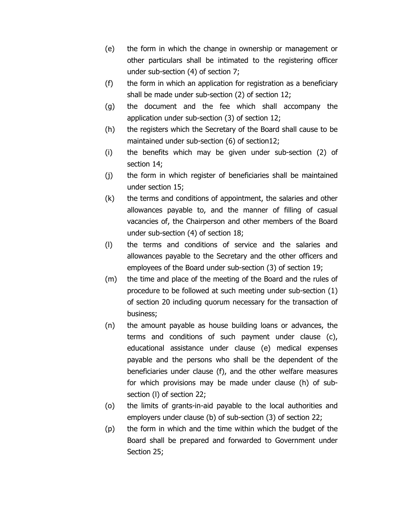- (e) the form in which the change in ownership or management or other particulars shall be intimated to the registering officer under sub-section (4) of section 7;
- (f) the form in which an application for registration as a beneficiary shall be made under sub-section (2) of section 12;
- (g) the document and the fee which shall accompany the application under sub-section (3) of section 12;
- (h) the registers which the Secretary of the Board shall cause to be maintained under sub-section (6) of section12;
- (i) the benefits which may be given under sub-section (2) of section 14;
- (j) the form in which register of beneficiaries shall be maintained under section 15;
- (k) the terms and conditions of appointment, the salaries and other allowances payable to, and the manner of filling of casual vacancies of, the Chairperson and other members of the Board under sub-section (4) of section 18;
- (l) the terms and conditions of service and the salaries and allowances payable to the Secretary and the other officers and employees of the Board under sub-section (3) of section 19;
- (m) the time and place of the meeting of the Board and the rules of procedure to be followed at such meeting under sub-section (1) of section 20 including quorum necessary for the transaction of business;
- (n) the amount payable as house building loans or advances, the terms and conditions of such payment under clause (c), educational assistance under clause (e) medical expenses payable and the persons who shall be the dependent of the beneficiaries under clause (f), and the other welfare measures for which provisions may be made under clause (h) of subsection (l) of section 22;
- (o) the limits of grants-in-aid payable to the local authorities and employers under clause (b) of sub-section (3) of section 22;
- (p) the form in which and the time within which the budget of the Board shall be prepared and forwarded to Government under Section 25;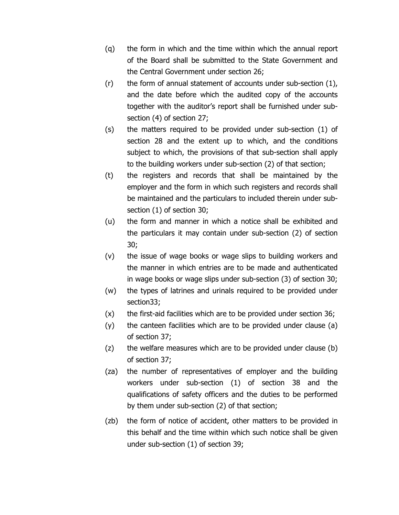- (q) the form in which and the time within which the annual report of the Board shall be submitted to the State Government and the Central Government under section 26;
- (r) the form of annual statement of accounts under sub-section (1), and the date before which the audited copy of the accounts together with the auditor's report shall be furnished under subsection (4) of section 27;
- (s) the matters required to be provided under sub-section (1) of section 28 and the extent up to which, and the conditions subject to which, the provisions of that sub-section shall apply to the building workers under sub-section (2) of that section;
- (t) the registers and records that shall be maintained by the employer and the form in which such registers and records shall be maintained and the particulars to included therein under subsection (1) of section 30;
- (u) the form and manner in which a notice shall be exhibited and the particulars it may contain under sub-section (2) of section 30;
- (v) the issue of wage books or wage slips to building workers and the manner in which entries are to be made and authenticated in wage books or wage slips under sub-section (3) of section 30;
- (w) the types of latrines and urinals required to be provided under section33;
- (x) the first-aid facilities which are to be provided under section 36;
- (y) the canteen facilities which are to be provided under clause (a) of section 37;
- (z) the welfare measures which are to be provided under clause (b) of section 37;
- (za) the number of representatives of employer and the building workers under sub-section (1) of section 38 and the qualifications of safety officers and the duties to be performed by them under sub-section (2) of that section;
- (zb) the form of notice of accident, other matters to be provided in this behalf and the time within which such notice shall be given under sub-section (1) of section 39;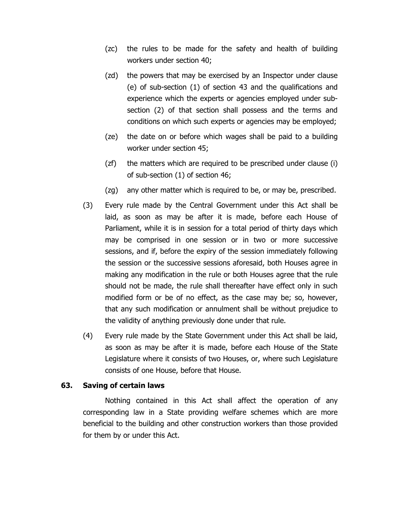- (zc) the rules to be made for the safety and health of building workers under section 40;
- (zd) the powers that may be exercised by an Inspector under clause (e) of sub-section (1) of section 43 and the qualifications and experience which the experts or agencies employed under subsection (2) of that section shall possess and the terms and conditions on which such experts or agencies may be employed;
- (ze) the date on or before which wages shall be paid to a building worker under section 45;
- (zf) the matters which are required to be prescribed under clause (i) of sub-section (1) of section 46;
- (zg) any other matter which is required to be, or may be, prescribed.
- (3) Every rule made by the Central Government under this Act shall be laid, as soon as may be after it is made, before each House of Parliament, while it is in session for a total period of thirty days which may be comprised in one session or in two or more successive sessions, and if, before the expiry of the session immediately following the session or the successive sessions aforesaid, both Houses agree in making any modification in the rule or both Houses agree that the rule should not be made, the rule shall thereafter have effect only in such modified form or be of no effect, as the case may be; so, however, that any such modification or annulment shall be without prejudice to the validity of anything previously done under that rule.
- (4) Every rule made by the State Government under this Act shall be laid, as soon as may be after it is made, before each House of the State Legislature where it consists of two Houses, or, where such Legislature consists of one House, before that House.

### **63. Saving of certain laws**

Nothing contained in this Act shall affect the operation of any corresponding law in a State providing welfare schemes which are more beneficial to the building and other construction workers than those provided for them by or under this Act.